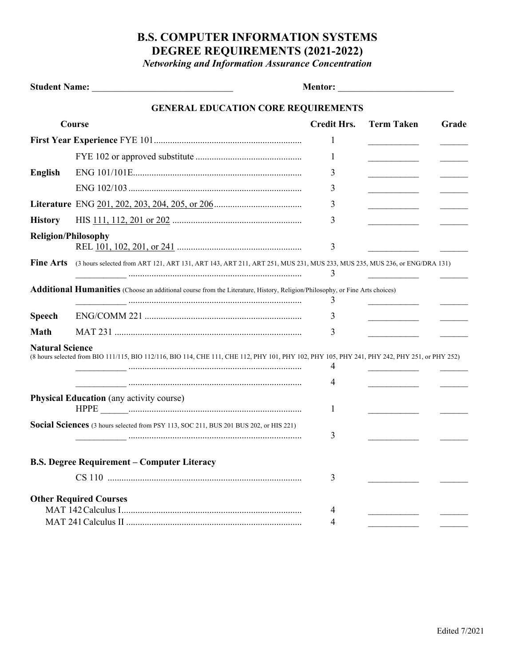## **B.S. COMPUTER INFORMATION SYSTEMS DEGREE REQUIREMENTS (2021-2022)**

*Networking and Information Assurance Concentration*

|                               |                                                                                                                                               | <b>Mentor: _________________________________</b> |                   |       |
|-------------------------------|-----------------------------------------------------------------------------------------------------------------------------------------------|--------------------------------------------------|-------------------|-------|
|                               | <b>GENERAL EDUCATION CORE REQUIREMENTS</b>                                                                                                    |                                                  |                   |       |
| Course                        |                                                                                                                                               | <b>Credit Hrs.</b>                               | <b>Term Taken</b> | Grade |
|                               |                                                                                                                                               | 1                                                |                   |       |
|                               |                                                                                                                                               | 1                                                |                   |       |
| <b>English</b>                |                                                                                                                                               | 3                                                |                   |       |
|                               |                                                                                                                                               | 3                                                |                   |       |
|                               |                                                                                                                                               | 3                                                |                   |       |
| <b>History</b>                |                                                                                                                                               | 3                                                |                   |       |
| <b>Religion/Philosophy</b>    |                                                                                                                                               | 3                                                |                   |       |
| <b>Fine Arts</b>              | (3 hours selected from ART 121, ART 131, ART 143, ART 211, ART 251, MUS 231, MUS 233, MUS 235, MUS 236, or ENG/DRA 131)                       | 3                                                |                   |       |
|                               | Additional Humanities (Choose an additional course from the Literature, History, Religion/Philosophy, or Fine Arts choices)                   | 3                                                |                   |       |
| <b>Speech</b>                 |                                                                                                                                               | 3                                                |                   |       |
| <b>Math</b>                   |                                                                                                                                               | 3                                                |                   |       |
| <b>Natural Science</b>        | (8 hours selected from BIO 111/115, BIO 112/116, BIO 114, CHE 111, CHE 112, PHY 101, PHY 102, PHY 105, PHY 241, PHY 242, PHY 251, or PHY 252) | 4                                                |                   |       |
|                               |                                                                                                                                               | 4                                                |                   |       |
|                               | <b>Physical Education</b> (any activity course)                                                                                               | 1                                                |                   |       |
|                               | Social Sciences (3 hours selected from PSY 113, SOC 211, BUS 201 BUS 202, or HIS 221)                                                         | 3                                                |                   |       |
|                               | <b>B.S. Degree Requirement - Computer Literacy</b>                                                                                            |                                                  |                   |       |
|                               |                                                                                                                                               | 3                                                |                   |       |
| <b>Other Required Courses</b> |                                                                                                                                               | 4                                                |                   |       |
|                               |                                                                                                                                               | 4                                                |                   |       |